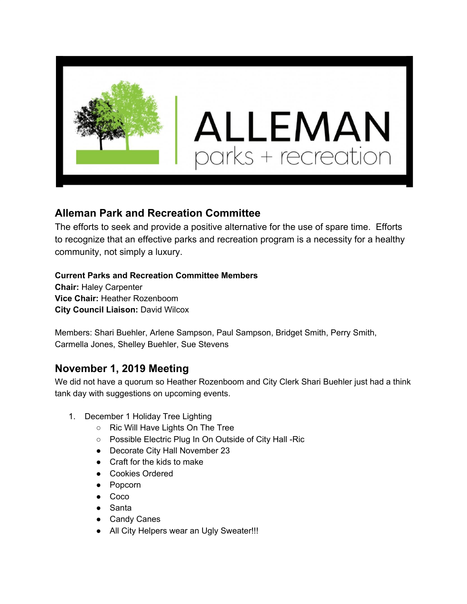

## **Alleman Park and Recreation Committee**

The efforts to seek and provide a positive alternative for the use of spare time. Efforts to recognize that an effective parks and recreation program is a necessity for a healthy community, not simply a luxury.

## **Current Parks and Recreation Committee Members**

**Chair:** Haley Carpenter **Vice Chair:** Heather Rozenboom **City Council Liaison:** David Wilcox

Members: Shari Buehler, Arlene Sampson, Paul Sampson, Bridget Smith, Perry Smith, Carmella Jones, Shelley Buehler, Sue Stevens

## **November 1, 2019 Meeting**

We did not have a quorum so Heather Rozenboom and City Clerk Shari Buehler just had a think tank day with suggestions on upcoming events.

- 1. December 1 Holiday Tree Lighting
	- Ric Will Have Lights On The Tree
	- Possible Electric Plug In On Outside of City Hall -Ric
	- Decorate City Hall November 23
	- Craft for the kids to make
	- Cookies Ordered
	- Popcorn
	- Coco
	- Santa
	- Candy Canes
	- All City Helpers wear an Ugly Sweater!!!